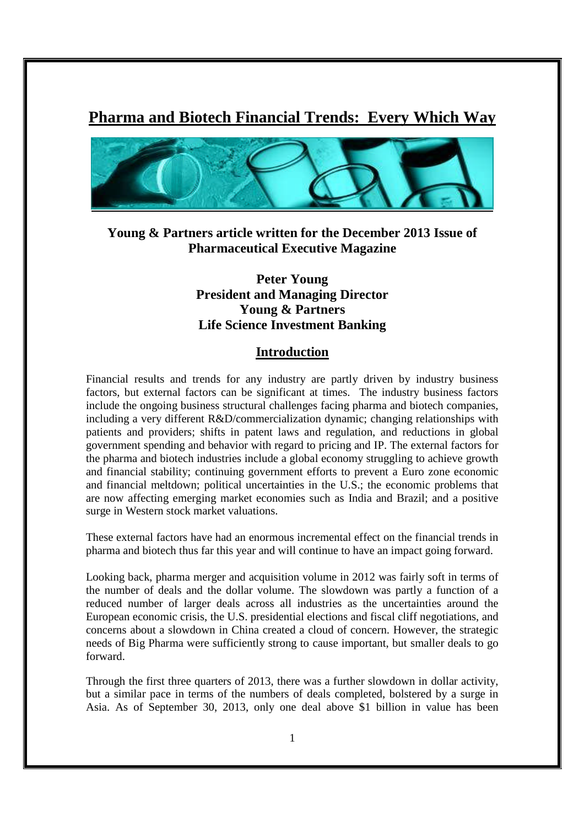# **Pharma and Biotech Financial Trends: Every Which Way**



# **Young & Partners article written for the December 2013 Issue of Pharmaceutical Executive Magazine**

# **Peter Young President and Managing Director Young & Partners Life Science Investment Banking**

#### **Introduction**

Financial results and trends for any industry are partly driven by industry business factors, but external factors can be significant at times. The industry business factors include the ongoing business structural challenges facing pharma and biotech companies, including a very different R&D/commercialization dynamic; changing relationships with patients and providers; shifts in patent laws and regulation, and reductions in global government spending and behavior with regard to pricing and IP. The external factors for the pharma and biotech industries include a global economy struggling to achieve growth and financial stability; continuing government efforts to prevent a Euro zone economic and financial meltdown; political uncertainties in the U.S.; the economic problems that are now affecting emerging market economies such as India and Brazil; and a positive surge in Western stock market valuations.

These external factors have had an enormous incremental effect on the financial trends in pharma and biotech thus far this year and will continue to have an impact going forward.

Looking back, pharma merger and acquisition volume in 2012 was fairly soft in terms of the number of deals and the dollar volume. The slowdown was partly a function of a reduced number of larger deals across all industries as the uncertainties around the European economic crisis, the U.S. presidential elections and fiscal cliff negotiations, and concerns about a slowdown in China created a cloud of concern. However, the strategic needs of Big Pharma were sufficiently strong to cause important, but smaller deals to go forward.

Through the first three quarters of 2013, there was a further slowdown in dollar activity, but a similar pace in terms of the numbers of deals completed, bolstered by a surge in Asia. As of September 30, 2013, only one deal above \$1 billion in value has been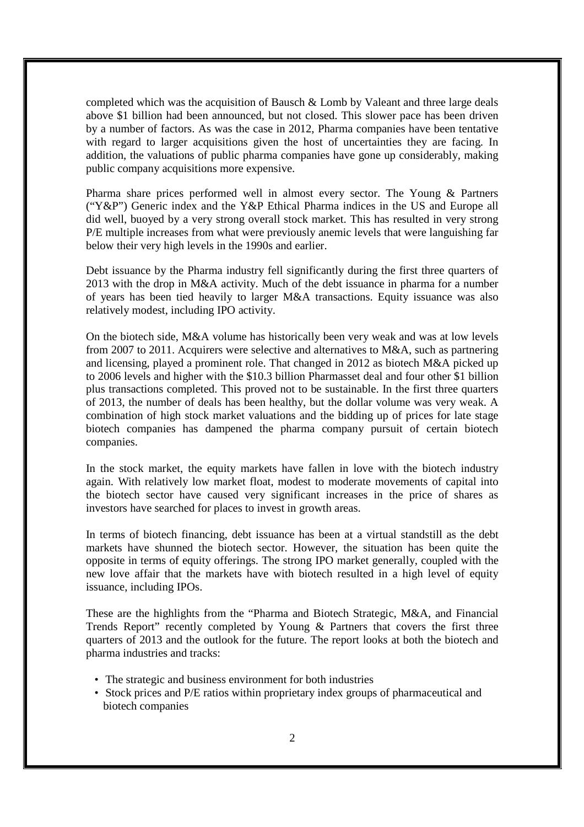completed which was the acquisition of Bausch & Lomb by Valeant and three large deals above \$1 billion had been announced, but not closed. This slower pace has been driven by a number of factors. As was the case in 2012, Pharma companies have been tentative with regard to larger acquisitions given the host of uncertainties they are facing. In addition, the valuations of public pharma companies have gone up considerably, making public company acquisitions more expensive.

Pharma share prices performed well in almost every sector. The Young & Partners ("Y&P") Generic index and the Y&P Ethical Pharma indices in the US and Europe all did well, buoyed by a very strong overall stock market. This has resulted in very strong P/E multiple increases from what were previously anemic levels that were languishing far below their very high levels in the 1990s and earlier.

Debt issuance by the Pharma industry fell significantly during the first three quarters of 2013 with the drop in M&A activity. Much of the debt issuance in pharma for a number of years has been tied heavily to larger M&A transactions. Equity issuance was also relatively modest, including IPO activity.

On the biotech side, M&A volume has historically been very weak and was at low levels from 2007 to 2011. Acquirers were selective and alternatives to M&A, such as partnering and licensing, played a prominent role. That changed in 2012 as biotech M&A picked up to 2006 levels and higher with the \$10.3 billion Pharmasset deal and four other \$1 billion plus transactions completed. This proved not to be sustainable. In the first three quarters of 2013, the number of deals has been healthy, but the dollar volume was very weak. A combination of high stock market valuations and the bidding up of prices for late stage biotech companies has dampened the pharma company pursuit of certain biotech companies.

In the stock market, the equity markets have fallen in love with the biotech industry again. With relatively low market float, modest to moderate movements of capital into the biotech sector have caused very significant increases in the price of shares as investors have searched for places to invest in growth areas.

In terms of biotech financing, debt issuance has been at a virtual standstill as the debt markets have shunned the biotech sector. However, the situation has been quite the opposite in terms of equity offerings. The strong IPO market generally, coupled with the new love affair that the markets have with biotech resulted in a high level of equity issuance, including IPOs.

These are the highlights from the "Pharma and Biotech Strategic, M&A, and Financial Trends Report" recently completed by Young & Partners that covers the first three quarters of 2013 and the outlook for the future. The report looks at both the biotech and pharma industries and tracks:

- The strategic and business environment for both industries
- Stock prices and P/E ratios within proprietary index groups of pharmaceutical and biotech companies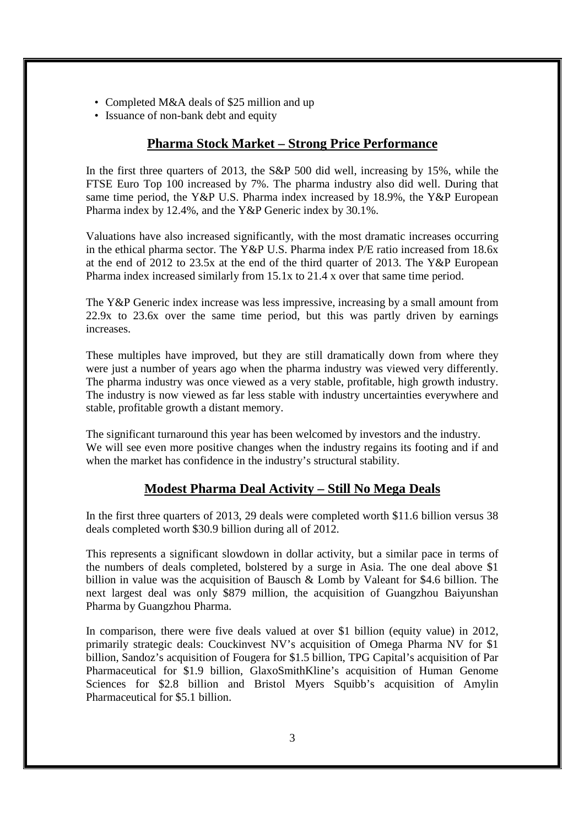- Completed M&A deals of \$25 million and up
- Issuance of non-bank debt and equity

## **Pharma Stock Market – Strong Price Performance**

In the first three quarters of 2013, the S&P 500 did well, increasing by 15%, while the FTSE Euro Top 100 increased by 7%. The pharma industry also did well. During that same time period, the Y&P U.S. Pharma index increased by 18.9%, the Y&P European Pharma index by 12.4%, and the Y&P Generic index by 30.1%.

Valuations have also increased significantly, with the most dramatic increases occurring in the ethical pharma sector. The Y&P U.S. Pharma index P/E ratio increased from 18.6x at the end of 2012 to 23.5x at the end of the third quarter of 2013. The Y&P European Pharma index increased similarly from 15.1x to 21.4 x over that same time period.

The Y&P Generic index increase was less impressive, increasing by a small amount from 22.9x to 23.6x over the same time period, but this was partly driven by earnings increases.

These multiples have improved, but they are still dramatically down from where they were just a number of years ago when the pharma industry was viewed very differently. The pharma industry was once viewed as a very stable, profitable, high growth industry. The industry is now viewed as far less stable with industry uncertainties everywhere and stable, profitable growth a distant memory.

The significant turnaround this year has been welcomed by investors and the industry. We will see even more positive changes when the industry regains its footing and if and when the market has confidence in the industry's structural stability.

# **Modest Pharma Deal Activity – Still No Mega Deals**

In the first three quarters of 2013, 29 deals were completed worth \$11.6 billion versus 38 deals completed worth \$30.9 billion during all of 2012.

This represents a significant slowdown in dollar activity, but a similar pace in terms of the numbers of deals completed, bolstered by a surge in Asia. The one deal above \$1 billion in value was the acquisition of Bausch & Lomb by Valeant for \$4.6 billion. The next largest deal was only \$879 million, the acquisition of Guangzhou Baiyunshan Pharma by Guangzhou Pharma.

In comparison, there were five deals valued at over \$1 billion (equity value) in 2012, primarily strategic deals: Couckinvest NV's acquisition of Omega Pharma NV for \$1 billion, Sandoz's acquisition of Fougera for \$1.5 billion, TPG Capital's acquisition of Par Pharmaceutical for \$1.9 billion, GlaxoSmithKline's acquisition of Human Genome Sciences for \$2.8 billion and Bristol Myers Squibb's acquisition of Amylin Pharmaceutical for \$5.1 billion.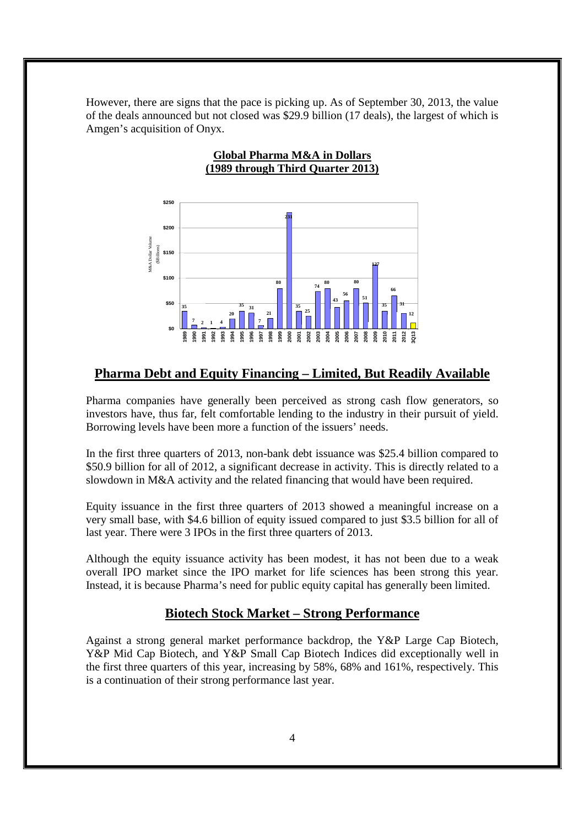However, there are signs that the pace is picking up. As of September 30, 2013, the value of the deals announced but not closed was \$29.9 billion (17 deals), the largest of which is Amgen's acquisition of Onyx.

**Global Pharma M&A in Dollars**



## **Pharma Debt and Equity Financing – Limited, But Readily Available**

Pharma companies have generally been perceived as strong cash flow generators, so investors have, thus far, felt comfortable lending to the industry in their pursuit of yield. Borrowing levels have been more a function of the issuers' needs.

In the first three quarters of 2013, non-bank debt issuance was \$25.4 billion compared to \$50.9 billion for all of 2012, a significant decrease in activity. This is directly related to a slowdown in M&A activity and the related financing that would have been required.

Equity issuance in the first three quarters of 2013 showed a meaningful increase on a very small base, with \$4.6 billion of equity issued compared to just \$3.5 billion for all of last year. There were 3 IPOs in the first three quarters of 2013.

Although the equity issuance activity has been modest, it has not been due to a weak overall IPO market since the IPO market for life sciences has been strong this year. Instead, it is because Pharma's need for public equity capital has generally been limited.

## **Biotech Stock Market – Strong Performance**

Against a strong general market performance backdrop, the Y&P Large Cap Biotech, Y&P Mid Cap Biotech, and Y&P Small Cap Biotech Indices did exceptionally well in the first three quarters of this year, increasing by 58%, 68% and 161%, respectively. This is a continuation of their strong performance last year.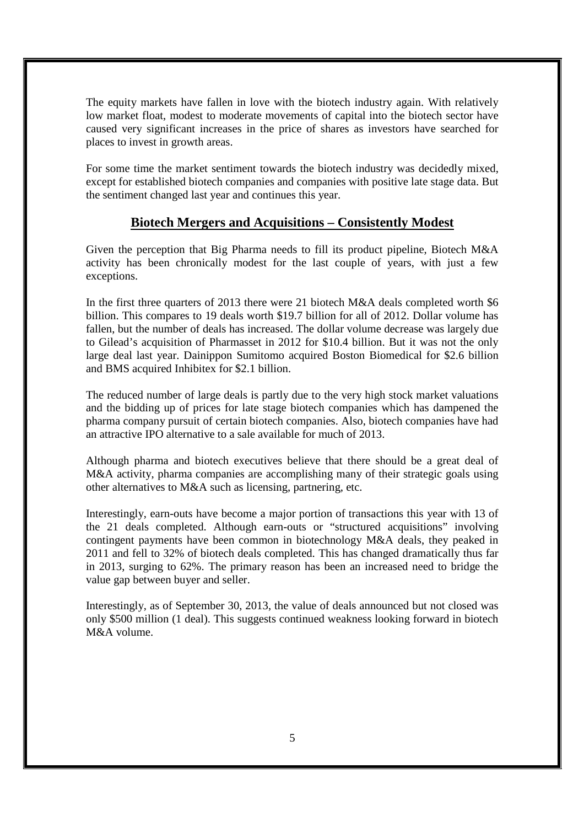The equity markets have fallen in love with the biotech industry again. With relatively low market float, modest to moderate movements of capital into the biotech sector have caused very significant increases in the price of shares as investors have searched for places to invest in growth areas.

For some time the market sentiment towards the biotech industry was decidedly mixed, except for established biotech companies and companies with positive late stage data. But the sentiment changed last year and continues this year.

#### **Biotech Mergers and Acquisitions – Consistently Modest**

Given the perception that Big Pharma needs to fill its product pipeline, Biotech M&A activity has been chronically modest for the last couple of years, with just a few exceptions.

In the first three quarters of 2013 there were 21 biotech M&A deals completed worth \$6 billion. This compares to 19 deals worth \$19.7 billion for all of 2012. Dollar volume has fallen, but the number of deals has increased. The dollar volume decrease was largely due to Gilead's acquisition of Pharmasset in 2012 for \$10.4 billion. But it was not the only large deal last year. Dainippon Sumitomo acquired Boston Biomedical for \$2.6 billion and BMS acquired Inhibitex for \$2.1 billion.

The reduced number of large deals is partly due to the very high stock market valuations and the bidding up of prices for late stage biotech companies which has dampened the pharma company pursuit of certain biotech companies. Also, biotech companies have had an attractive IPO alternative to a sale available for much of 2013.

Although pharma and biotech executives believe that there should be a great deal of M&A activity, pharma companies are accomplishing many of their strategic goals using other alternatives to M&A such as licensing, partnering, etc.

Interestingly, earn-outs have become a major portion of transactions this year with 13 of the 21 deals completed. Although earn-outs or "structured acquisitions" involving contingent payments have been common in biotechnology M&A deals, they peaked in 2011 and fell to 32% of biotech deals completed. This has changed dramatically thus far in 2013, surging to 62%. The primary reason has been an increased need to bridge the value gap between buyer and seller.

Interestingly, as of September 30, 2013, the value of deals announced but not closed was only \$500 million (1 deal). This suggests continued weakness looking forward in biotech M&A volume.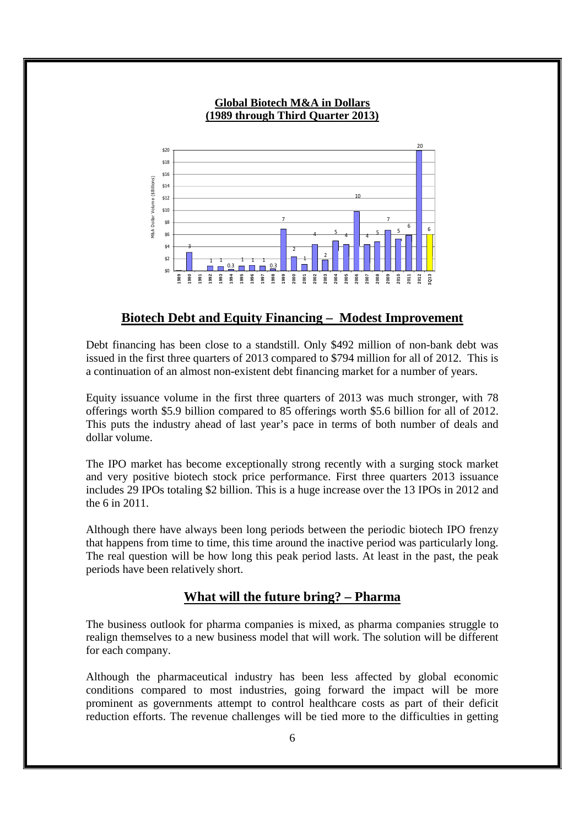

#### **Global Biotech M&A in Dollars (1989 through Third Quarter 2013)**

#### **Biotech Debt and Equity Financing – Modest Improvement**

Debt financing has been close to a standstill. Only \$492 million of non-bank debt was issued in the first three quarters of 2013 compared to \$794 million for all of 2012. This is a continuation of an almost non-existent debt financing market for a number of years.

Equity issuance volume in the first three quarters of 2013 was much stronger, with 78 offerings worth \$5.9 billion compared to 85 offerings worth \$5.6 billion for all of 2012. This puts the industry ahead of last year's pace in terms of both number of deals and dollar volume.

The IPO market has become exceptionally strong recently with a surging stock market and very positive biotech stock price performance. First three quarters 2013 issuance includes 29 IPOs totaling \$2 billion. This is a huge increase over the 13 IPOs in 2012 and the 6 in 2011.

Although there have always been long periods between the periodic biotech IPO frenzy that happens from time to time, this time around the inactive period was particularly long. The real question will be how long this peak period lasts. At least in the past, the peak periods have been relatively short.

## **What will the future bring? – Pharma**

The business outlook for pharma companies is mixed, as pharma companies struggle to realign themselves to a new business model that will work. The solution will be different for each company.

Although the pharmaceutical industry has been less affected by global economic conditions compared to most industries, going forward the impact will be more prominent as governments attempt to control healthcare costs as part of their deficit reduction efforts. The revenue challenges will be tied more to the difficulties in getting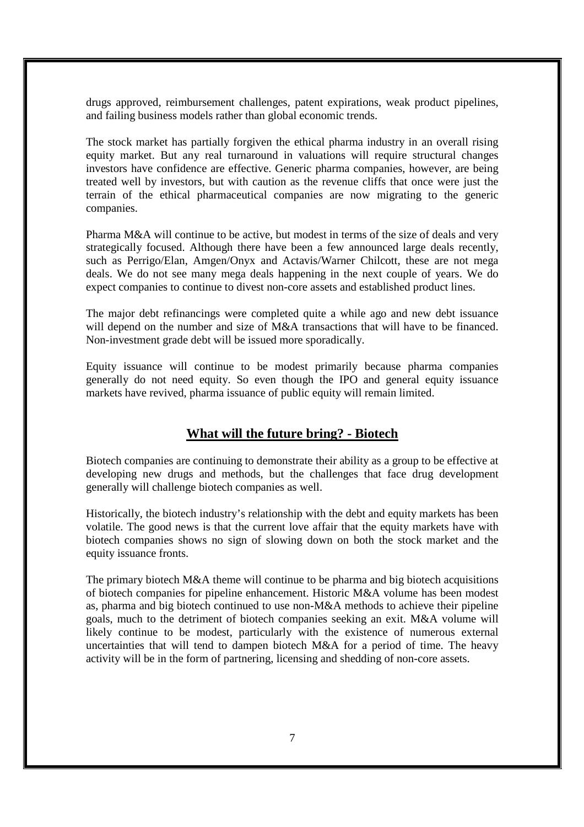drugs approved, reimbursement challenges, patent expirations, weak product pipelines, and failing business models rather than global economic trends.

The stock market has partially forgiven the ethical pharma industry in an overall rising equity market. But any real turnaround in valuations will require structural changes investors have confidence are effective. Generic pharma companies, however, are being treated well by investors, but with caution as the revenue cliffs that once were just the terrain of the ethical pharmaceutical companies are now migrating to the generic companies.

Pharma M&A will continue to be active, but modest in terms of the size of deals and very strategically focused. Although there have been a few announced large deals recently, such as Perrigo/Elan, Amgen/Onyx and Actavis/Warner Chilcott, these are not mega deals. We do not see many mega deals happening in the next couple of years. We do expect companies to continue to divest non-core assets and established product lines.

The major debt refinancings were completed quite a while ago and new debt issuance will depend on the number and size of M&A transactions that will have to be financed. Non-investment grade debt will be issued more sporadically.

Equity issuance will continue to be modest primarily because pharma companies generally do not need equity. So even though the IPO and general equity issuance markets have revived, pharma issuance of public equity will remain limited.

#### **What will the future bring? - Biotech**

Biotech companies are continuing to demonstrate their ability as a group to be effective at developing new drugs and methods, but the challenges that face drug development generally will challenge biotech companies as well.

Historically, the biotech industry's relationship with the debt and equity markets has been volatile. The good news is that the current love affair that the equity markets have with biotech companies shows no sign of slowing down on both the stock market and the equity issuance fronts.

The primary biotech M&A theme will continue to be pharma and big biotech acquisitions of biotech companies for pipeline enhancement. Historic M&A volume has been modest as, pharma and big biotech continued to use non-M&A methods to achieve their pipeline goals, much to the detriment of biotech companies seeking an exit. M&A volume will likely continue to be modest, particularly with the existence of numerous external uncertainties that will tend to dampen biotech M&A for a period of time. The heavy activity will be in the form of partnering, licensing and shedding of non-core assets.